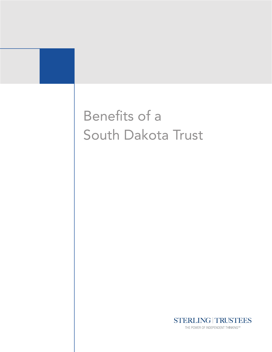



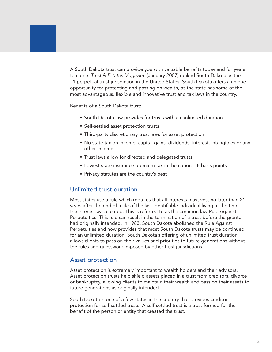A South Dakota trust can provide you with valuable benefits today and for years to come. *Trust & Estates Magazine* (January 2007) ranked South Dakota as the #1 perpetual trust jurisdiction in the United States. South Dakota offers a unique opportunity for protecting and passing on wealth, as the state has some of the most advantageous, flexible and innovative trust and tax laws in the country.

Benefits of a South Dakota trust:

- South Dakota law provides for trusts with an unlimited duration
- Self-settled asset protection trusts
- Third-party discretionary trust laws for asset protection
- No state tax on income, capital gains, dividends, interest, intangibles or any other income
- Trust laws allow for directed and delegated trusts
- $\bullet$  Lowest state insurance premium tax in the nation  $-8$  basis points
- Privacy statutes are the country's best

## Unlimited trust duration

Most states use a rule which requires that all interests must vest no later than 21 years after the end of a life of the last identifiable individual living at the time the interest was created. This is referred to as the common law Rule Against Perpetuities. This rule can result in the termination of a trust before the grantor had originally intended. In 1983, South Dakota abolished the Rule Against Perpetuities and now provides that most South Dakota trusts may be continued for an unlimited duration. South Dakota's offering of unlimited trust duration allows clients to pass on their values and priorities to future generations without the rules and guesswork imposed by other trust jurisdictions.

### Asset protection

Asset protection is extremely important to wealth holders and their advisors. Asset protection trusts help shield assets placed in a trust from creditors, divorce or bankruptcy, allowing clients to maintain their wealth and pass on their assets to future generations as originally intended.

South Dakota is one of a few states in the country that provides creditor protection for self-settled trusts. A self-settled trust is a trust formed for the benefit of the person or entity that created the trust.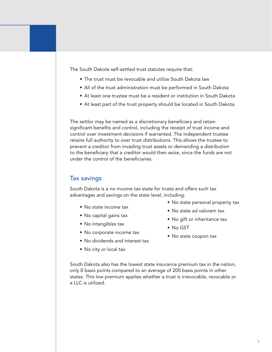The South Dakota self-settled trust statutes require that:

- The trust must be revocable and utilize South Dakota law
- All of the trust administration must be performed in South Dakota
- At least one trustee must be a resident or institution in South Dakota
- At least part of the trust property should be located in South Dakota

The settlor may be named as a discretionary beneficiary and retain significant benefits and control, including the receipt of trust income and control over investment decisions if warranted. The independent trustee retains full authority to over trust distributions. This allows the trustee to prevent a creditor from invading trust assets or demanding a distribution to the beneficiary that a creditor would then seize, since the funds are not under the control of the beneficiaries.

#### Tax savings

South Dakota is a no income tax state for trusts and offers such tax advantages and savings on the state level, including:

- No state income tax
- No capital gains tax
- No intangibles tax
- No corporate income tax
- No dividends and interest tax
- No city or local tax
- No state personal property tax
- No state ad valorem tax
- No gift or inheritance tax
- No GST
- No state coupon tax

South Dakota also has the lowest state insurance premium tax in the nation, only 8 basis points compared to an average of 200 basis points in other states. This low premium applies whether a trust is irrevocable, revocable or a LLC is utilized.